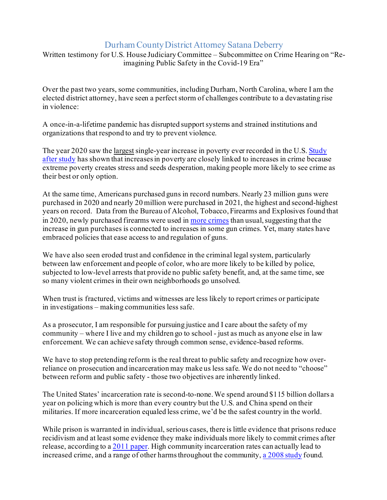## Durham County District Attorney Satana Deberry

Written testimony for U.S. House Judiciary Committee – Subcommittee on Crime Hearing on "Reimagining Public Safety in the Covid-19 Era"

Over the past two years, some communities, including Durham, North Carolina, where I am the elected district attorney, have seen a perfect storm of challenges contribute to a devastating rise in violence:

A once-in-a-lifetime pandemic has disrupted support systems and strained institutions and organizations that respond to and try to prevent violence.

The year 2020 saw th[e largest](https://www.washingtonpost.com/business/2020/12/16/poverty-rising/) single-year increase in poverty ever recorded in the U.S. Study [after study](https://www.emerald.com/insight/content/doi/10.1108/IJSE-04-2017-0167/full/html) has shown that increases in poverty are closely linked to increases in crime because extreme poverty creates stress and seeds desperation, making people more likely to see crime as their best or only option.

At the same time, Americans purchased guns in record numbers. Nearly 23 million guns were purchased in 2020 and nearly 20 million were purchased in 2021, the highest and second-highest years on record. Data from the Bureau of Alcohol, Tobacco, Firearms and Explosives found that in 2020, newly purchased firearms were used i[n more crimes](https://www.theatlantic.com/ideas/archive/2022/01/gun-sales-murder-spike/621196/) than usual, suggesting that the increase in gun purchases is connected to increases in some gun crimes. Yet, many states have embraced policies that ease access to and regulation of guns.

We have also seen eroded trust and confidence in the criminal legal system, particularly between law enforcement and people of color, who are more likely to be killed by police, subjected to low-level arrests that provide no public safety benefit, and, at the same time, see so many violent crimes in their own neighborhoods go unsolved.

When trust is fractured, victims and witnesses are less likely to report crimes or participate in investigations – making communities less safe.

As a prosecutor, I am responsible for pursuing justice and I care about the safety of my community – where I live and my children go to school - just as much as anyone else in law enforcement. We can achieve safety through common sense, evidence-based reforms.

We have to stop pretending reform is the real threat to public safety and recognize how overreliance on prosecution and incarceration may make us less safe. We do not need to "choose" between reform and public safety - those two objectives are inherently linked.

The United States' incarceration rate is second-to-none. We spend around \$115 billion dollars a year on policing which is more than every country but the U.S. and China spend on their militaries. If more incarceration equaled less crime, we'd be the safest country in the world.

While prison is warranted in individual, serious cases, there is little evidence that prisons reduce recidivism and at least some evidence they make individuals more likely to commit crimes after release, according to [a 2011 paper](https://journals.sagepub.com/doi/abs/10.1177/0032885511415224?journalCode=tpjd). High community incarceration rates can actually lead to increased crime, and a range of other harms throughout the community[, a 2008 study](http://endnewjimcrownj.org/resources/The%20Effects%20of%20High%20Imprisonment%20Rates%20on%20Communities%20clear-cj-2008.pdf) found.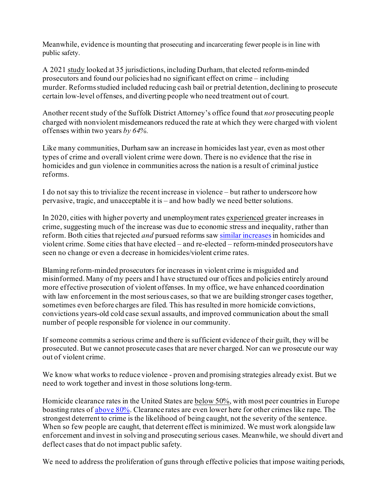Meanwhile, evidence is mounting that prosecuting and incarcerating fewer people is in line with public safety.

A 2021 [study](https://papers.ssrn.com/sol3/papers.cfm?abstract_id=3952764) looked at 35 jurisdictions, including Durham, that elected reform-minded prosecutors and found our policies had no significant effect on crime – including murder. Reforms studied included reducing cash bail or pretrial detention, declining to prosecute certain low-level offenses, and diverting people who need treatment out of court.

Another recent study of the Suffolk District Attorney's office found that *not* prosecuting people charged with nonviolent misdemeanors reduced the rate at which they were charged with violent offenses within two years *by 64%.*

Like many communities, Durham saw an increase in homicides last year, even as most other types of crime and overall violent crime were down. There is no evidence that the rise in homicides and gun violence in communities across the nation is a result of criminal justice reforms.

I do not say this to trivialize the recent increase in violence – but rather to underscore how pervasive, tragic, and unacceptable it is – and how badly we need better solutions.

In 2020, cities with higher poverty and unemployment rate[s experienced](https://cdn.ymaws.com/counciloncj.org/resource/resmgr/covid_commission/Year_End_Crime_Update_Design.pdf) greater increases in crime, suggesting much of the increase was due to economic stress and inequality, rather than reform. Both cities that rejected *and* pursued reforms sa[w similar increases](https://app.box.com/file/828572198655)in homicides and violent crime. Some cities that have elected – and re-elected – reform-minded prosecutors have seen no change or even a decrease in homicides/violent crime rates.

Blaming reform-minded prosecutors for increases in violent crime is misguided and misinformed. Many of my peers and I have structured our offices and policies entirely around more effective prosecution of violent offenses. In my office, we have enhanced coordination with law enforcement in the most serious cases, so that we are building stronger cases together, sometimes even before charges are filed. This has resulted in more homicide convictions, convictions years-old cold case sexual assaults, and improved communication about the small number of people responsible for violence in our community.

If someone commits a serious crime and there is sufficient evidence of their guilt, they will be prosecuted. But we cannot prosecute cases that are never charged. Nor can we prosecute our way out of violent crime.

We know what works to reduce violence - proven and promising strategies already exist. But we need to work together and invest in those solutions long-term.

Homicide clearance rates in the United States ar[e below 50%](https://www.themarshallproject.org/2022/01/12/as-murders-spiked-police-solved-about-half-in-2020), with most peer countries in Europe boasting rates o[f above 80%](https://journals.sagepub.com/doi/pdf/10.1177/1477370818764840). Clearance rates are even lower here for other crimes like rape. The strongest deterrent to crime is the likelihood of being caught, not the severity of the sentence. When so few people are caught, that deterrent effect is minimized. We must work alongside law enforcement and invest in solving and prosecuting serious cases. Meanwhile, we should divert and deflect cases that do not impact public safety.

We need to address the proliferation of guns through effective policies that impose waiting periods,